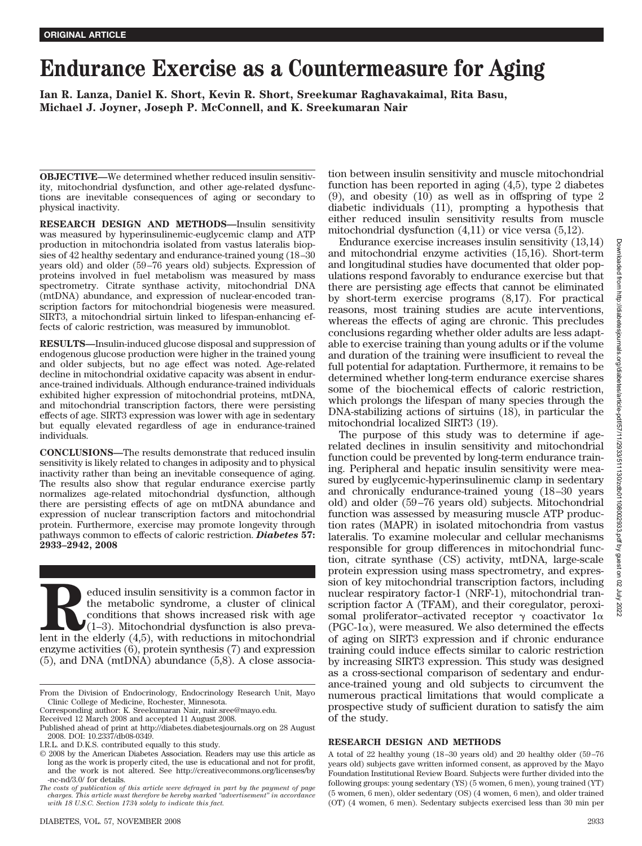# **Endurance Exercise as a Countermeasure for Aging**

**Ian R. Lanza, Daniel K. Short, Kevin R. Short, Sreekumar Raghavakaimal, Rita Basu, Michael J. Joyner, Joseph P. McConnell, and K. Sreekumaran Nair**

**OBJECTIVE—**We determined whether reduced insulin sensitivity, mitochondrial dysfunction, and other age-related dysfunctions are inevitable consequences of aging or secondary to physical inactivity.

**RESEARCH DESIGN AND METHODS—**Insulin sensitivity was measured by hyperinsulinemic-euglycemic clamp and ATP production in mitochondria isolated from vastus lateralis biopsies of 42 healthy sedentary and endurance-trained young (18–30 years old) and older (59–76 years old) subjects. Expression of proteins involved in fuel metabolism was measured by mass spectrometry. Citrate synthase activity, mitochondrial DNA (mtDNA) abundance, and expression of nuclear-encoded transcription factors for mitochondrial biogenesis were measured. SIRT3, a mitochondrial sirtuin linked to lifespan-enhancing effects of caloric restriction, was measured by immunoblot.

**RESULTS—**Insulin-induced glucose disposal and suppression of endogenous glucose production were higher in the trained young and older subjects, but no age effect was noted. Age-related decline in mitochondrial oxidative capacity was absent in endurance-trained individuals. Although endurance-trained individuals exhibited higher expression of mitochondrial proteins, mtDNA, and mitochondrial transcription factors, there were persisting effects of age. SIRT3 expression was lower with age in sedentary but equally elevated regardless of age in endurance-trained individuals.

**CONCLUSIONS—**The results demonstrate that reduced insulin sensitivity is likely related to changes in adiposity and to physical inactivity rather than being an inevitable consequence of aging. The results also show that regular endurance exercise partly normalizes age-related mitochondrial dysfunction, although there are persisting effects of age on mtDNA abundance and expression of nuclear transcription factors and mitochondrial protein. Furthermore, exercise may promote longevity through pathways common to effects of caloric restriction. *Diabetes* **57: 2933–2942, 2008**

Election sensitivity is a common factor in the metabolic syndrome, a cluster of clinical conditions that shows increased risk with age (1–3). Mitochondrial dysfunction is also prevalent in the elderly (4,5), with reduction the metabolic syndrome, a cluster of clinical conditions that shows increased risk with age  $(1-3)$ . Mitochondrial dysfunction is also prevaenzyme activities (6), protein synthesis (7) and expression (5), and DNA (mtDNA) abundance (5,8). A close association between insulin sensitivity and muscle mitochondrial function has been reported in aging (4,5), type 2 diabetes (9), and obesity (10) as well as in offspring of type 2 diabetic individuals (11), prompting a hypothesis that either reduced insulin sensitivity results from muscle mitochondrial dysfunction (4,11) or vice versa (5,12).

Endurance exercise increases insulin sensitivity (13,14) and mitochondrial enzyme activities (15,16). Short-term and longitudinal studies have documented that older populations respond favorably to endurance exercise but that there are persisting age effects that cannot be eliminated by short-term exercise programs (8,17). For practical reasons, most training studies are acute interventions, whereas the effects of aging are chronic. This precludes conclusions regarding whether older adults are less adaptable to exercise training than young adults or if the volume and duration of the training were insufficient to reveal the full potential for adaptation. Furthermore, it remains to be determined whether long-term endurance exercise shares some of the biochemical effects of caloric restriction, which prolongs the lifespan of many species through the DNA-stabilizing actions of sirtuins (18), in particular the mitochondrial localized SIRT3 (19).

The purpose of this study was to determine if agerelated declines in insulin sensitivity and mitochondrial function could be prevented by long-term endurance training. Peripheral and hepatic insulin sensitivity were measured by euglycemic-hyperinsulinemic clamp in sedentary and chronically endurance-trained young (18–30 years old) and older (59–76 years old) subjects. Mitochondrial function was assessed by measuring muscle ATP production rates (MAPR) in isolated mitochondria from vastus lateralis. To examine molecular and cellular mechanisms responsible for group differences in mitochondrial function, citrate synthase (CS) activity, mtDNA, large-scale protein expression using mass spectrometry, and expression of key mitochondrial transcription factors, including nuclear respiratory factor-1 (NRF-1), mitochondrial transcription factor A (TFAM), and their coregulator, peroxisomal proliferator–activated receptor  $\gamma$  coactivator 1 $\alpha$  $(PGC-1\alpha)$ , were measured. We also determined the effects of aging on SIRT3 expression and if chronic endurance training could induce effects similar to caloric restriction by increasing SIRT3 expression. This study was designed as a cross-sectional comparison of sedentary and endurance-trained young and old subjects to circumvent the numerous practical limitations that would complicate a prospective study of sufficient duration to satisfy the aim of the study.

## **RESEARCH DESIGN AND METHODS**

A total of 22 healthy young (18–30 years old) and 20 healthy older (59–76 years old) subjects gave written informed consent, as approved by the Mayo Foundation Institutional Review Board. Subjects were further divided into the following groups: young sedentary (YS) (5 women, 6 men), young trained (YT) (5 women, 6 men), older sedentary (OS) (4 women, 6 men), and older trained (OT) (4 women, 6 men). Sedentary subjects exercised less than 30 min per

From the Division of Endocrinology, Endocrinology Research Unit, Mayo Clinic College of Medicine, Rochester, Minnesota.

Corresponding author: K. Sreekumaran Nair, nair.sree@mayo.edu.

Received 12 March 2008 and accepted 11 August 2008.

Published ahead of print at http://diabetes.diabetesjournals.org on 28 August 2008. DOI: 10.2337/db08-0349.

I.R.L. and D.K.S. contributed equally to this study.

<sup>© 2008</sup> by the American Diabetes Association. Readers may use this article as long as the work is properly cited, the use is educational and not for profit, and the work is not altered. See http://creativecommons.org/licenses/by -nc-nd/3.0/ for details.

*The costs of publication of this article were defrayed in part by the payment of page charges. This article must therefore be hereby marked "advertisement" in accordance with 18 U.S.C. Section 1734 solely to indicate this fact.*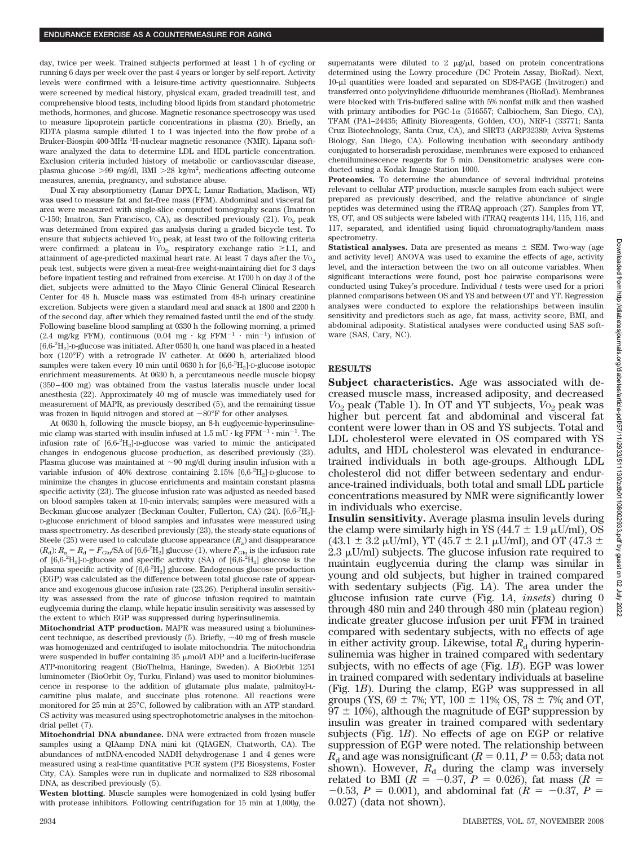day, twice per week. Trained subjects performed at least 1 h of cycling or running 6 days per week over the past 4 years or longer by self-report. Activity levels were confirmed with a leisure-time activity questionnaire. Subjects were screened by medical history, physical exam, graded treadmill test, and comprehensive blood tests, including blood lipids from standard photometric methods, hormones, and glucose. Magnetic resonance spectroscopy was used to measure lipoprotein particle concentrations in plasma (20). Briefly, an EDTA plasma sample diluted 1 to 1 was injected into the flow probe of a Bruker-Biospin 400-MHz <sup>1</sup>H-nuclear magnetic resonance (NMR). Lipana software analyzed the data to determine LDL and HDL particle concentration. Exclusion criteria included history of metabolic or cardiovascular disease, plasma glucose >99 mg/dl, BMI >28 kg/m<sup>2</sup>, medications affecting outcome measures, anemia, pregnancy, and substance abuse.

Dual X-ray absorptiometry (Lunar DPX-L; Lunar Radiation, Madison, WI) was used to measure fat and fat-free mass (FFM). Abdominal and visceral fat area were measured with single-slice computed tomography scans (Imatron C-150; Imatron, San Francisco, CA), as described previously (21). *V*<sub>O2</sub> peak was determined from expired gas analysis during a graded bicycle test. To ensure that subjects achieved  $V_{{}^{O_2}}$  peak, at least two of the following criteria were confirmed: a plateau in  $V_{{}^{0}2}$ , respiratory exchange ratio  $\geq 1.1$ , and attainment of age-predicted maximal heart rate. At least 7 days after the  $V_{{}o_2}$ peak test, subjects were given a meat-free weight-maintaining diet for 3 days before inpatient testing and refrained from exercise. At 1700 h on day 3 of the diet, subjects were admitted to the Mayo Clinic General Clinical Research Center for 48 h. Muscle mass was estimated from 48-h urinary creatinine excretion. Subjects were given a standard meal and snack at 1800 and 2200 h of the second day, after which they remained fasted until the end of the study. Following baseline blood sampling at 0330 h the following morning, a primed (2.4 mg/kg FFM), continuous (0.04 mg  $\cdot$  kg FFM<sup>-1</sup>  $\cdot$  min<sup>-1</sup>) infusion of  $[6,6\text{--}^2\mathrm{H}_2]$  -D-glucose was initiated. After 0530 h, one hand was placed in a heated box (120°F) with a retrograde IV catheter. At 0600 h, arterialized blood samples were taken every 10 min until 0630 h for [6,6- $^2$ H<sub>2</sub>]-D-glucose isotopic enrichment measurements. At 0630 h, a percutaneous needle muscle biopsy (350–400 mg) was obtained from the vastus lateralis muscle under local anesthesia (22). Approximately 40 mg of muscle was immediately used for measurement of MAPR, as previously described (5), and the remaining tissue was frozen in liquid nitrogen and stored at  $-80^{\circ}$ F for other analyses.

At 0630 h, following the muscle biopsy, an 8-h euglycemic-hyperinsulinemic clamp was started with insulin infused at  $1.5 \text{ mU} \cdot \text{kg FFM}^{-1} \cdot \text{min}^{-1}$ . The infusion rate of [6,6-2 H2]-D-glucose was varied to mimic the anticipated changes in endogenous glucose production, as described previously (23). Plasma glucose was maintained at  $\sim 90$  mg/dl during insulin infusion with a variable infusion of 40% dextrose containing  $2.15\%$  [ $6.6\text{-}^2\text{H}_2$ ]-D-glucose to minimize the changes in glucose enrichments and maintain constant plasma specific activity (23). The glucose infusion rate was adjusted as needed based on blood samples taken at 10-min intervals; samples were measured with a Beckman glucose analyzer (Beckman Coulter, Fullerton, CA) (24). [6,6- $^{2}$ H<sub>2</sub>]-D-glucose enrichment of blood samples and infusates were measured using mass spectrometry. As described previously (23), the steady-state equations of Steele (25) were used to calculate glucose appearance  $(R_a)$  and disappearance  $(R_d)$ :  $R_a = R_d = F_{\text{Glu}} / \text{SA of } [6,6^{-2} \text{H}_2]$  glucose (1), where  $F_{\text{Glu}}$  is the infusion rate of  $[6,6\text{-}^2H_2]$ -D-glucose and specific activity (SA) of  $[6,6\text{-}^2H_2]$  glucose is the plasma specific activity of  $[6,6.^2\mathrm{H}_2]$  glucose. Endogenous glucose production (EGP) was calculated as the difference between total glucose rate of appearance and exogenous glucose infusion rate (23,26). Peripheral insulin sensitivity was assessed from the rate of glucose infusion required to maintain euglycemia during the clamp, while hepatic insulin sensitivity was assessed by the extent to which EGP was suppressed during hyperinsulinemia.

**Mitochondrial ATP production.** MAPR was measured using a bioluminescent technique, as described previously  $(5)$ . Briefly,  $\sim$ 40 mg of fresh muscle was homogenized and centrifuged to isolate mitochondria. The mitochondria were suspended in buffer containing  $35 \mu$ mol/l ADP and a luciferin-luciferase ATP-monitoring reagent (BioThelma, Haninge, Sweden). A BioOrbit 1251 luminometer (BioOrbit Oy, Turku, Finland) was used to monitor bioluminescence in response to the addition of glutamate plus malate, palmitoyl-Lcarnitine plus malate, and succinate plus rotenone. All reactions were monitored for 25 min at 25°C, followed by calibration with an ATP standard. CS activity was measured using spectrophotometric analyses in the mitochondrial pellet (7).

**Mitochondrial DNA abundance.** DNA were extracted from frozen muscle samples using a QIAamp DNA mini kit (QIAGEN, Chatworth, CA). The abundances of mtDNA-encoded NADH dehydrogenase 1 and 4 genes were measured using a real-time quantitative PCR system (PE Biosystems, Foster City, CA). Samples were run in duplicate and normalized to S28 ribosomal DNA, as described previously (5).

**Westen blotting.** Muscle samples were homogenized in cold lysing buffer with protease inhibitors. Following centrifugation for 15 min at 1,000*g*, the

supernatants were diluted to 2  $\mu$ g/ $\mu$ l, based on protein concentrations determined using the Lowry procedure (DC Protein Assay, BioRad). Next, 10-l quantities were loaded and separated on SDS-PAGE (Invitrogen) and transferred onto polyvinylidene difluouride membranes (BioRad). Membranes were blocked with Tris-buffered saline with 5% nonfat milk and then washed with primary antibodies for PGC-1 $\alpha$  (516557; Calbiochem, San Diego, CA), TFAM (PA1–24435; Affinity Bioreagents, Golden, CO), NRF-1 (33771; Santa Cruz Biotechnology, Santa Cruz, CA), and SIRT3 (ARP32389; Aviva Systems Biology, San Diego, CA). Following incubation with secondary antibody conjugated to horseradish peroxidase, membranes were exposed to enhanced chemiluminescence reagents for 5 min. Densitometric analyses were conducted using a Kodak Image Station 1000.

**Proteomics.** To determine the abundance of several individual proteins relevant to cellular ATP production, muscle samples from each subject were prepared as previously described, and the relative abundance of single peptides was determined using the iTRAQ approach (27). Samples from YT, YS, OT, and OS subjects were labeled with iTRAQ reagents 114, 115, 116, and 117, separated, and identified using liquid chromatography/tandem mass spectrometry.

**Statistical analyses.** Data are presented as means  $\pm$  SEM. Two-way (age and activity level) ANOVA was used to examine the effects of age, activity level, and the interaction between the two on all outcome variables. When significant interactions were found, post hoc pairwise comparisons were conducted using Tukey's procedure. Individual *t* tests were used for a priori planned comparisons between OS and YS and between OT and YT. Regression analyses were conducted to explore the relationships between insulin sensitivity and predictors such as age, fat mass, activity score, BMI, and abdominal adiposity. Statistical analyses were conducted using SAS software (SAS, Cary, NC).

## **RESULTS**

**Subject characteristics.** Age was associated with decreased muscle mass, increased adiposity, and decreased *V*<sub>O<sub>2</sub> peak (Table 1). In OT and YT subjects, *V*<sub>O<sub>2</sub> peak was</sub></sub> higher but percent fat and abdominal and visceral fat content were lower than in OS and YS subjects. Total and LDL cholesterol were elevated in OS compared with YS adults, and HDL cholesterol was elevated in endurancetrained individuals in both age-groups. Although LDL cholesterol did not differ between sedentary and endurance-trained individuals, both total and small LDL particle concentrations measured by NMR were significantly lower in individuals who exercise.

**Insulin sensitivity.** Average plasma insulin levels during the clamp were similarly high in YS (44.7  $\pm$  1.9  $\mu$ U/ml), OS  $(43.1 \pm 3.2 \,\mu\text{U/ml})$ , YT (45.7  $\pm$  2.1  $\mu\text{U/ml}$ ), and OT (47.3  $\pm$  $2.3 \mu$ U/ml) subjects. The glucose infusion rate required to maintain euglycemia during the clamp was similar in young and old subjects, but higher in trained compared with sedentary subjects (Fig. 1*A*). The area under the glucose infusion rate curve (Fig. 1*A*, *insets*) during 0 through 480 min and 240 through 480 min (plateau region) indicate greater glucose infusion per unit FFM in trained compared with sedentary subjects, with no effects of age in either activity group. Likewise, total  $R_d$  during hyperinsulinemia was higher in trained compared with sedentary subjects, with no effects of age (Fig. 1*B*). EGP was lower in trained compared with sedentary individuals at baseline (Fig. 1*B*). During the clamp, EGP was suppressed in all groups (YS, 69  $\pm$  7%; YT, 100  $\pm$  11%; OS, 78  $\pm$  7%; and OT,  $97 \pm 10$ %), although the magnitude of EGP suppression by insulin was greater in trained compared with sedentary subjects (Fig. 1*B*). No effects of age on EGP or relative suppression of EGP were noted. The relationship between  $R<sub>d</sub>$  and age was nonsignificant ( $R = 0.11, P = 0.53$ ; data not shown). However,  $R_d$  during the clamp was inversely related to BMI ( $R = -0.37$ ,  $P = 0.026$ ), fat mass ( $R =$  $-0.53$ ,  $P = 0.001$ ), and abdominal fat ( $R = -0.37$ ,  $P =$ 0.027) (data not shown).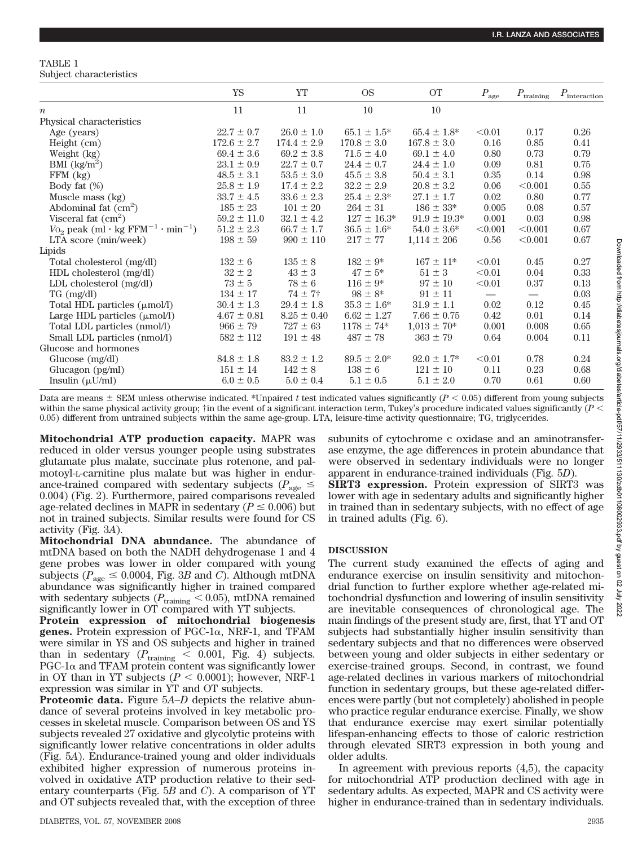## TABLE 1

|  | Subject characteristics |
|--|-------------------------|
|--|-------------------------|

|                                                                     | YS              | YT              | <b>OS</b>        | <b>OT</b>         | $P_{\rm age}$                 | $P_{\text{training}}$         | $P_{\text{interaction}}$ |
|---------------------------------------------------------------------|-----------------|-----------------|------------------|-------------------|-------------------------------|-------------------------------|--------------------------|
| $\boldsymbol{n}$                                                    | 11              | 11              | 10               | 10                |                               |                               |                          |
| Physical characteristics                                            |                 |                 |                  |                   |                               |                               |                          |
| Age (years)                                                         | $22.7 \pm 0.7$  | $26.0 \pm 1.0$  | $65.1 \pm 1.5^*$ | $65.4 \pm 1.8^*$  | < 0.01                        | 0.17                          | 0.26                     |
| Height (cm)                                                         | $172.6 \pm 2.7$ | $174.4 \pm 2.9$ | $170.8 \pm 3.0$  | $167.8 \pm 3.0$   | 0.16                          | 0.85                          | 0.41                     |
| Weight (kg)                                                         | $69.4 \pm 3.6$  | $69.2 \pm 3.8$  | $71.5 \pm 4.0$   | $69.1 \pm 4.0$    | 0.80                          | 0.73                          | 0.79                     |
| BMI $(kg/m^2)$                                                      | $23.1 \pm 0.9$  | $22.7 \pm 0.7$  | $24.4 \pm 0.7$   | $24.4 \pm 1.0$    | 0.09                          | 0.81                          | 0.75                     |
| $FFM$ $(kg)$                                                        | $48.5 \pm 3.1$  | $53.5 \pm 3.0$  | $45.5 \pm 3.8$   | $50.4 \pm 3.1$    | 0.35                          | 0.14                          | 0.98                     |
| Body fat $(\%)$                                                     | $25.8 \pm 1.9$  | $17.4 \pm 2.2$  | $32.2 \pm 2.9$   | $20.8 \pm 3.2$    | 0.06                          | < 0.001                       | 0.55                     |
| Muscle mass (kg)                                                    | $33.7 \pm 4.5$  | $33.6 \pm 2.3$  | $25.4 \pm 2.3^*$ | $27.1 \pm 1.7$    | 0.02                          | 0.80                          | 0.77                     |
| Abdominal fat $(cm2)$                                               | $185 \pm 23$    | $101 \pm 20$    | $264 \pm 31$     | $186 \pm 33*$     | 0.005                         | 0.08                          | 0.57                     |
| Visceral fat $(cm2)$                                                | $59.2 \pm 11.0$ | $32.1 \pm 4.2$  | $127 \pm 16.3^*$ | $91.9 \pm 19.3^*$ | 0.001                         | 0.03                          | 0.98                     |
| $V_{\text{O}_2}$ peak (ml·kg FFM <sup>-1</sup> ·min <sup>-1</sup> ) | $51.2 \pm 2.3$  | $66.7 \pm 1.7$  | $36.5 \pm 1.6^*$ | $54.0 \pm 3.6^*$  | < 0.001                       | < 0.001                       | 0.67                     |
| LTA score (min/week)                                                | $198 \pm 59$    | $990 \pm 110$   | $217 \pm 77$     | $1,114 \pm 206$   | 0.56                          | < 0.001                       | 0.67                     |
| Lipids                                                              |                 |                 |                  |                   |                               |                               |                          |
| Total cholesterol (mg/dl)                                           | $132 \pm 6$     | $135 \pm 8$     | $182 \pm 9^*$    | $167 \pm 11*$     | < 0.01                        | 0.45                          | 0.27                     |
| HDL cholesterol (mg/dl)                                             | $32 \pm 2$      | $43 \pm 3$      | $47 \pm 5^*$     | $51 \pm 3$        | < 0.01                        | 0.04                          | 0.33                     |
| LDL cholesterol $(mg/dl)$                                           | $73 \pm 5$      | $78 \pm 6$      | $116 \pm 9*$     | $97\pm10$         | < 0.01                        | 0.37                          | 0.13                     |
| $TG \, (mg/dl)$                                                     | $134 \pm 17$    | $74 + 7$        | $98 \pm 8^*$     | $91 \pm 11$       | $\overbrace{\phantom{aaaaa}}$ | $\overbrace{\phantom{aaaaa}}$ | 0.03                     |
| Total HDL particles (µmol/l)                                        | $30.4 \pm 1.3$  | $29.4 \pm 1.8$  | $35.3 \pm 1.6^*$ | $31.9 \pm 1.1$    | 0.02                          | 0.12                          | 0.45                     |
| Large HDL particles $(\mu \text{mol/l})$                            | $4.67 \pm 0.81$ | $8.25 \pm 0.40$ | $6.62 \pm 1.27$  | $7.66 \pm 0.75$   | 0.42                          | 0.01                          | 0.14                     |
| Total LDL particles (nmol/l)                                        | $966 \pm 79$    | $727 \pm 63$    | $1178 \pm 74*$   | $1,013 \pm 70*$   | 0.001                         | 0.008                         | 0.65                     |
| Small LDL particles (nmol/l)                                        | $582 \pm 112$   | $191 \pm 48$    | $487 \pm 78$     | $363 \pm 79$      | 0.64                          | 0.004                         | 0.11                     |
| Glucose and hormones                                                |                 |                 |                  |                   |                               |                               |                          |
| Glucose (mg/dl)                                                     | $84.8 \pm 1.8$  | $83.2 \pm 1.2$  | $89.5 \pm 2.0^*$ | $92.0 \pm 1.7^*$  | < 0.01                        | 0.78                          | 0.24                     |
| Glucagon $(pg/ml)$                                                  | $151 \pm 14$    | $142 \pm 8$     | $138 \pm 6$      | $121 \pm 10$      | 0.11                          | 0.23                          | 0.68                     |
| Insulin $(\mu U/ml)$                                                | $6.0 \pm 0.5$   | $5.0 \pm 0.4$   | $5.1 \pm 0.5$    | $5.1 \pm 2.0$     | 0.70                          | 0.61                          | 0.60                     |

Data are means  $\pm$  SEM unless otherwise indicated. \*Unpaired t test indicated values significantly ( $P \leq 0.05$ ) different from young subjects within the same physical activity group;  $\ddot{\tau}$  in the event of a significant interaction term, Tukey's procedure indicated values significantly (*P* < 0.05) different from untrained subjects within the same age-group. LTA, leisure-time activity questionnaire; TG, triglycerides.

**Mitochondrial ATP production capacity.** MAPR was reduced in older versus younger people using substrates glutamate plus malate, succinate plus rotenone, and palmotoyl-L-carnitine plus malate but was higher in endurance-trained compared with sedentary subjects ( $P_{\text{age}} \leq$ 0.004) (Fig. 2). Furthermore, paired comparisons revealed age-related declines in MAPR in sedentary ( $P \leq 0.006$ ) but not in trained subjects. Similar results were found for CS activity (Fig. 3*A*).

**Mitochondrial DNA abundance.** The abundance of mtDNA based on both the NADH dehydrogenase 1 and 4 gene probes was lower in older compared with young subjects ( $P_{\text{age}} \leq 0.0004$ , Fig. 3*B* and *C*). Although mtDNA abundance was significantly higher in trained compared with sedentary subjects ( $P_{\text{training}} < 0.05$ ), mtDNA remained significantly lower in OT compared with YT subjects.

**Protein expression of mitochondrial biogenesis** genes. Protein expression of  $PGC-1\alpha$ , NRF-1, and TFAM were similar in YS and OS subjects and higher in trained than in sedentary  $(P_{\text{training}} < 0.001, \text{ Fig. 4})$  subjects.  $PGC-1\alpha$  and TFAM protein content was significantly lower in OY than in YT subjects  $(P < 0.0001)$ ; however, NRF-1 expression was similar in YT and OT subjects.

**Proteomic data.** Figure 5*A–D* depicts the relative abundance of several proteins involved in key metabolic processes in skeletal muscle. Comparison between OS and YS subjects revealed 27 oxidative and glycolytic proteins with significantly lower relative concentrations in older adults (Fig. 5*A*). Endurance-trained young and older individuals exhibited higher expression of numerous proteins involved in oxidative ATP production relative to their sedentary counterparts (Fig. 5*B* and *C*). A comparison of YT and OT subjects revealed that, with the exception of three subunits of cytochrome c oxidase and an aminotransferase enzyme, the age differences in protein abundance that were observed in sedentary individuals were no longer apparent in endurance-trained individuals (Fig. 5*D*).

**SIRT3 expression.** Protein expression of SIRT3 was lower with age in sedentary adults and significantly higher in trained than in sedentary subjects, with no effect of age in trained adults (Fig. 6).

## **DISCUSSION**

The current study examined the effects of aging and endurance exercise on insulin sensitivity and mitochondrial function to further explore whether age-related mitochondrial dysfunction and lowering of insulin sensitivity are inevitable consequences of chronological age. The main findings of the present study are, first, that YT and OT subjects had substantially higher insulin sensitivity than sedentary subjects and that no differences were observed between young and older subjects in either sedentary or exercise-trained groups. Second, in contrast, we found age-related declines in various markers of mitochondrial function in sedentary groups, but these age-related differences were partly (but not completely) abolished in people who practice regular endurance exercise. Finally, we show that endurance exercise may exert similar potentially lifespan-enhancing effects to those of caloric restriction through elevated SIRT3 expression in both young and older adults.

In agreement with previous reports  $(4,5)$ , the capacity for mitochondrial ATP production declined with age in sedentary adults. As expected, MAPR and CS activity were higher in endurance-trained than in sedentary individuals.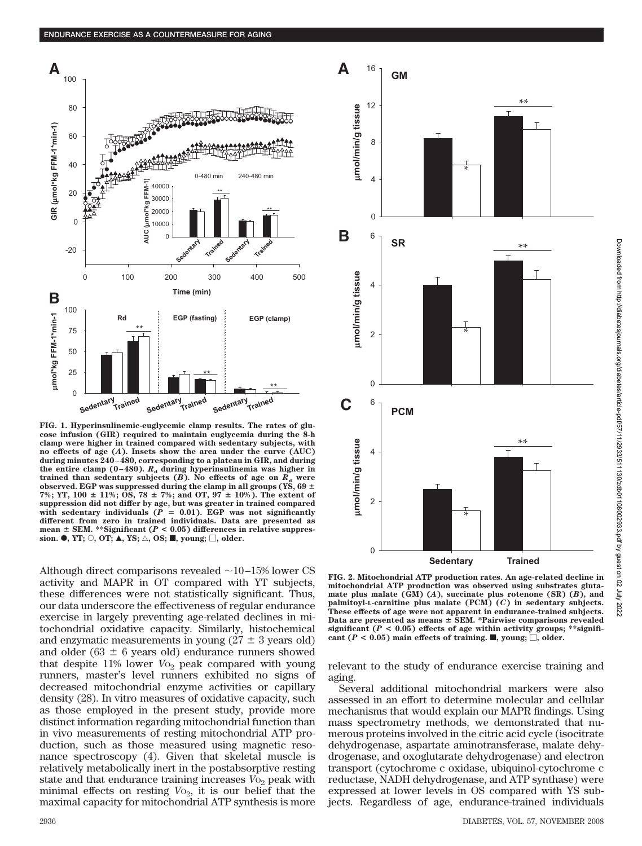

**FIG. 1. Hyperinsulinemic-euglycemic clamp results. The rates of glucose infusion (GIR) required to maintain euglycemia during the 8-h clamp were higher in trained compared with sedentary subjects, with no effects of age (***A***). Insets show the area under the curve (AUC) during minutes 240–480, corresponding to a plateau in GIR, and during** the entire clamp (0–480).  $R_d$  during hyperinsulinemia was higher in **trained than sedentary subjects**  $(B)$ **. No effects of age on**  $R_d$  **were** observed. EGP was suppressed during the clamp in all groups (YS,  $69 \pm$ 7%; YT,  $100 \pm 11\%$ ; OS,  $78 \pm 7\%$ ; and OT,  $97 \pm 10\%$ ). The extent of **suppression did not differ by age, but was greater in trained compared with sedentary individuals (***P* - **0.01). EGP was not significantly different from zero in trained individuals. Data are presented as mean SEM. \*\*Significant (***P* **< 0.05) differences in relative suppres-** $\mathbf{sion.} \bullet$ , YT;  $\bigcirc$ , OT;  $\blacktriangle$ , YS;  $\bigtriangleup$ , OS; **II**, young;  $\Box$ , older.

Although direct comparisons revealed  $\sim$ 10–15% lower CS activity and MAPR in OT compared with YT subjects, these differences were not statistically significant. Thus, our data underscore the effectiveness of regular endurance exercise in largely preventing age-related declines in mitochondrial oxidative capacity. Similarly, histochemical and enzymatic measurements in young  $(27 \pm 3 \text{ years old})$ and older ( $63 \pm 6$  years old) endurance runners showed that despite 11% lower *V*<sub>O2</sub> peak compared with young runners, master's level runners exhibited no signs of decreased mitochondrial enzyme activities or capillary density (28). In vitro measures of oxidative capacity, such as those employed in the present study, provide more distinct information regarding mitochondrial function than in vivo measurements of resting mitochondrial ATP production, such as those measured using magnetic resonance spectroscopy (4). Given that skeletal muscle is relatively metabolically inert in the postabsorptive resting state and that endurance training increases  $V_{\text{O}_2}$  peak with minimal effects on resting  $V_{\text{O}_2}$ , it is our belief that the maximal capacity for mitochondrial ATP synthesis is more



**FIG. 2. Mitochondrial ATP production rates. An age-related decline in mitochondrial ATP production was observed using substrates glutamate plus malate (GM) (***A***), succinate plus rotenone (SR) (***B***), and palmitoyl-L-carnitine plus malate (PCM) (***C***) in sedentary subjects. These effects of age were not apparent in endurance-trained subjects. Data are presented as means SEM. \*Pairwise comparisons revealed** significant ( $P < 0.05$ ) effects of age within activity groups; \*\*significant  $(P < 0.05)$  main effects of training. **I**, young;  $\Box$ , older.

relevant to the study of endurance exercise training and aging.

Several additional mitochondrial markers were also assessed in an effort to determine molecular and cellular mechanisms that would explain our MAPR findings. Using mass spectrometry methods, we demonstrated that numerous proteins involved in the citric acid cycle (isocitrate dehydrogenase, aspartate aminotransferase, malate dehydrogenase, and oxoglutarate dehydrogenase) and electron transport (cytochrome c oxidase, ubiquinol-cytochrome c reductase, NADH dehydrogenase, and ATP synthase) were expressed at lower levels in OS compared with YS subjects. Regardless of age, endurance-trained individuals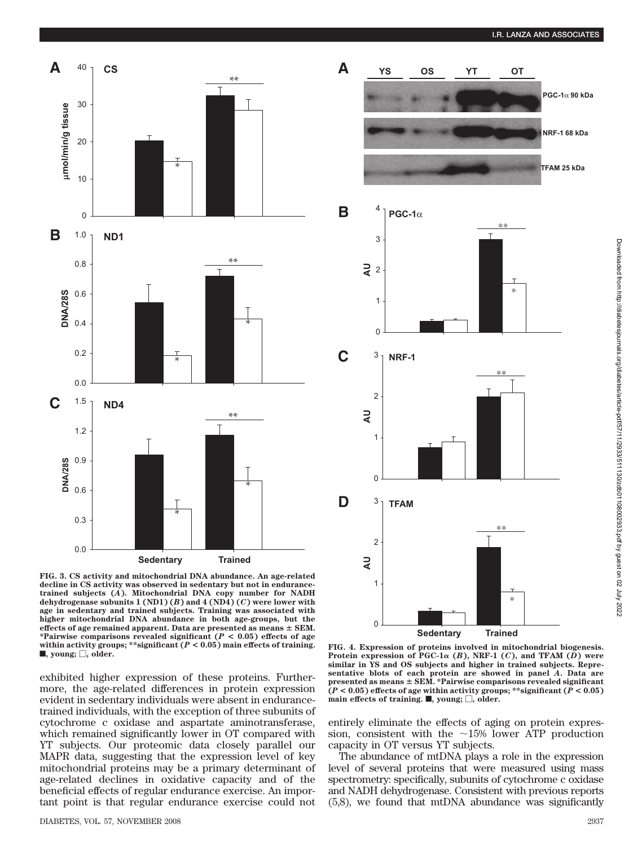



**FIG. 3. CS activity and mitochondrial DNA abundance. An age-related decline in CS activity was observed in sedentary but not in endurancetrained subjects (***A***). Mitochondrial DNA copy number for NADH dehydrogenase subunits 1 (ND1) (***B***) and 4 (ND4) (***C***) were lower with age in sedentary and trained subjects. Training was associated with higher mitochondrial DNA abundance in both age-groups, but the effects of age remained apparent. Data are presented as means SEM. \*Pairwise comparisons revealed significant (***P* **< 0.05) effects of age within activity groups; \*\*significant (***P* **< 0.05) main effects of training.**  $\blacksquare$ , young;  $\Box$ , older.

exhibited higher expression of these proteins. Furthermore, the age-related differences in protein expression evident in sedentary individuals were absent in endurancetrained individuals, with the exception of three subunits of cytochrome c oxidase and aspartate aminotransferase, which remained significantly lower in OT compared with YT subjects. Our proteomic data closely parallel our MAPR data, suggesting that the expression level of key mitochondrial proteins may be a primary determinant of age-related declines in oxidative capacity and of the beneficial effects of regular endurance exercise. An important point is that regular endurance exercise could not



**FIG. 4. Expression of proteins involved in mitochondrial biogenesis.** Protein expression of PGC-1 $\alpha$  (*B*), NRF-1 (*C*), and TFAM (*D*) were **similar in YS and OS subjects and higher in trained subjects. Representative blots of each protein are showed in panel** *A***. Data are presented as means SEM. \*Pairwise comparisons revealed significant**  $\tilde{P}$   $\leq$  **0.05**) effects of age within activity groups; \*\*significant ( $\tilde{P}$   $\leq$  0.05)  $\hat{\mathbf{r}}$  main effects of training.  $\blacksquare$ , young;  $\Box$ , older.

entirely eliminate the effects of aging on protein expression, consistent with the  $\sim$ 15% lower ATP production capacity in OT versus YT subjects.

The abundance of mtDNA plays a role in the expression level of several proteins that were measured using mass spectrometry: specifically, subunits of cytochrome c oxidase and NADH dehydrogenase. Consistent with previous reports (5,8), we found that mtDNA abundance was significantly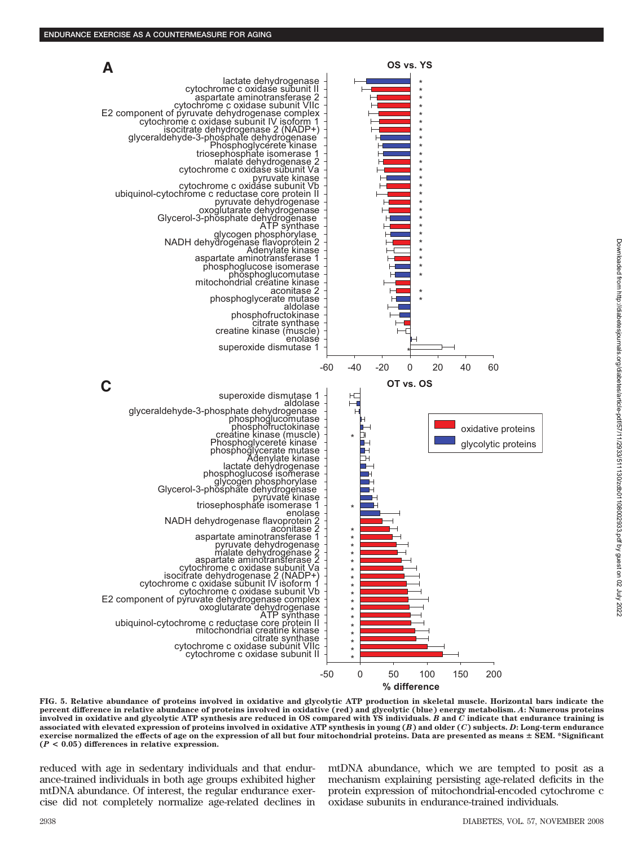**A**



**% difference**

**OS vs. YS**

\* \*

**FIG. 5. Relative abundance of proteins involved in oxidative and glycolytic ATP production in skeletal muscle. Horizontal bars indicate the percent difference in relative abundance of proteins involved in oxidative (red) and glycolytic (blue) energy metabolism.** *A***: Numerous proteins involved in oxidative and glycolytic ATP synthesis are reduced in OS compared with YS individuals.** *B* **and** *C* **indicate that endurance training is associated with elevated expression of proteins involved in oxidative ATP synthesis in young (***B***) and older (***C***) subjects.** *D***: Long-term endurance exercise normalized the effects of age on the expression of all but four mitochondrial proteins. Data are presented as means SEM. \*Significant (***P* **< 0.05) differences in relative expression.**

reduced with age in sedentary individuals and that endurance-trained individuals in both age groups exhibited higher mtDNA abundance. Of interest, the regular endurance exercise did not completely normalize age-related declines in mtDNA abundance, which we are tempted to posit as a mechanism explaining persisting age-related deficits in the protein expression of mitochondrial-encoded cytochrome c oxidase subunits in endurance-trained individuals.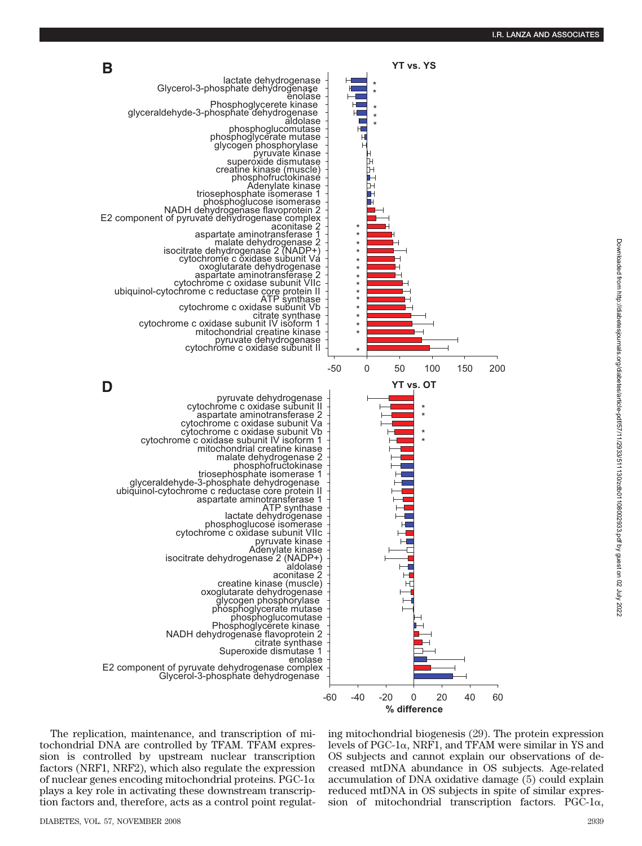

The replication, maintenance, and transcription of mitochondrial DNA are controlled by TFAM. TFAM expression is controlled by upstream nuclear transcription factors (NRF1, NRF2), which also regulate the expression of nuclear genes encoding mitochondrial proteins. PGC-1 $\alpha$ plays a key role in activating these downstream transcription factors and, therefore, acts as a control point regulating mitochondrial biogenesis (29). The protein expression levels of PGC-1 $\alpha$ , NRF1, and TFAM were similar in YS and OS subjects and cannot explain our observations of decreased mtDNA abundance in OS subjects. Age-related accumulation of DNA oxidative damage (5) could explain reduced mtDNA in OS subjects in spite of similar expression of mitochondrial transcription factors. PGC- $1\alpha$ ,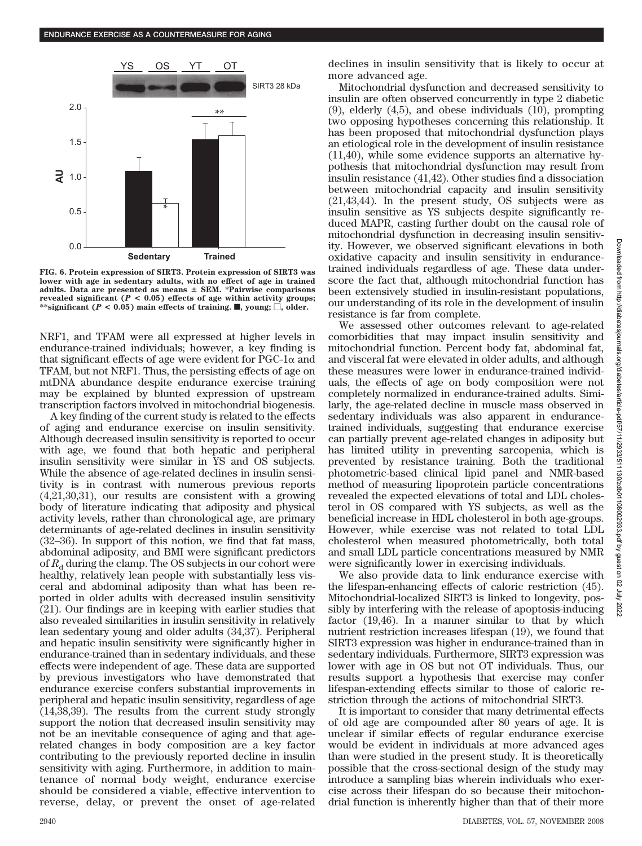

**FIG. 6. Protein expression of SIRT3. Protein expression of SIRT3 was lower with age in sedentary adults, with no effect of age in trained adults. Data are presented as means SEM. \*Pairwise comparisons** revealed significant  $(P < 0.05)$  effects of age within activity groups; \*\*significant ( $P < 0.05$ ) main effects of training. , young;  $\Box$ , older.

NRF1, and TFAM were all expressed at higher levels in endurance-trained individuals; however, a key finding is that significant effects of age were evident for  $PGC-1\alpha$  and TFAM, but not NRF1. Thus, the persisting effects of age on mtDNA abundance despite endurance exercise training may be explained by blunted expression of upstream transcription factors involved in mitochondrial biogenesis.

A key finding of the current study is related to the effects of aging and endurance exercise on insulin sensitivity. Although decreased insulin sensitivity is reported to occur with age, we found that both hepatic and peripheral insulin sensitivity were similar in YS and OS subjects. While the absence of age-related declines in insulin sensitivity is in contrast with numerous previous reports (4,21,30,31), our results are consistent with a growing body of literature indicating that adiposity and physical activity levels, rather than chronological age, are primary determinants of age-related declines in insulin sensitivity (32–36). In support of this notion, we find that fat mass, abdominal adiposity, and BMI were significant predictors of  $R_d$  during the clamp. The OS subjects in our cohort were healthy, relatively lean people with substantially less visceral and abdominal adiposity than what has been reported in older adults with decreased insulin sensitivity (21). Our findings are in keeping with earlier studies that also revealed similarities in insulin sensitivity in relatively lean sedentary young and older adults (34,37). Peripheral and hepatic insulin sensitivity were significantly higher in endurance-trained than in sedentary individuals, and these effects were independent of age. These data are supported by previous investigators who have demonstrated that endurance exercise confers substantial improvements in peripheral and hepatic insulin sensitivity, regardless of age (14,38,39). The results from the current study strongly support the notion that decreased insulin sensitivity may not be an inevitable consequence of aging and that agerelated changes in body composition are a key factor contributing to the previously reported decline in insulin sensitivity with aging. Furthermore, in addition to maintenance of normal body weight, endurance exercise should be considered a viable, effective intervention to reverse, delay, or prevent the onset of age-related declines in insulin sensitivity that is likely to occur at more advanced age.

Mitochondrial dysfunction and decreased sensitivity to insulin are often observed concurrently in type 2 diabetic (9), elderly (4,5), and obese individuals (10), prompting two opposing hypotheses concerning this relationship. It has been proposed that mitochondrial dysfunction plays an etiological role in the development of insulin resistance (11,40), while some evidence supports an alternative hypothesis that mitochondrial dysfunction may result from insulin resistance (41,42). Other studies find a dissociation between mitochondrial capacity and insulin sensitivity (21,43,44). In the present study, OS subjects were as insulin sensitive as YS subjects despite significantly reduced MAPR, casting further doubt on the causal role of mitochondrial dysfunction in decreasing insulin sensitivity. However, we observed significant elevations in both oxidative capacity and insulin sensitivity in endurancetrained individuals regardless of age. These data underscore the fact that, although mitochondrial function has been extensively studied in insulin-resistant populations, our understanding of its role in the development of insulin resistance is far from complete.

We assessed other outcomes relevant to age-related comorbidities that may impact insulin sensitivity and mitochondrial function. Percent body fat, abdominal fat, and visceral fat were elevated in older adults, and although these measures were lower in endurance-trained individuals, the effects of age on body composition were not completely normalized in endurance-trained adults. Similarly, the age-related decline in muscle mass observed in sedentary individuals was also apparent in endurancetrained individuals, suggesting that endurance exercise can partially prevent age-related changes in adiposity but has limited utility in preventing sarcopenia, which is prevented by resistance training. Both the traditional photometric-based clinical lipid panel and NMR-based method of measuring lipoprotein particle concentrations revealed the expected elevations of total and LDL cholesterol in OS compared with YS subjects, as well as the beneficial increase in HDL cholesterol in both age-groups. However, while exercise was not related to total LDL cholesterol when measured photometrically, both total and small LDL particle concentrations measured by NMR were significantly lower in exercising individuals.

We also provide data to link endurance exercise with the lifespan-enhancing effects of caloric restriction (45). Mitochondrial-localized SIRT3 is linked to longevity, possibly by interfering with the release of apoptosis-inducing factor (19,46). In a manner similar to that by which nutrient restriction increases lifespan (19), we found that SIRT3 expression was higher in endurance-trained than in sedentary individuals. Furthermore, SIRT3 expression was lower with age in OS but not OT individuals. Thus, our results support a hypothesis that exercise may confer lifespan-extending effects similar to those of caloric restriction through the actions of mitochondrial SIRT3.

It is important to consider that many detrimental effects of old age are compounded after 80 years of age. It is unclear if similar effects of regular endurance exercise would be evident in individuals at more advanced ages than were studied in the present study. It is theoretically possible that the cross-sectional design of the study may introduce a sampling bias wherein individuals who exercise across their lifespan do so because their mitochondrial function is inherently higher than that of their more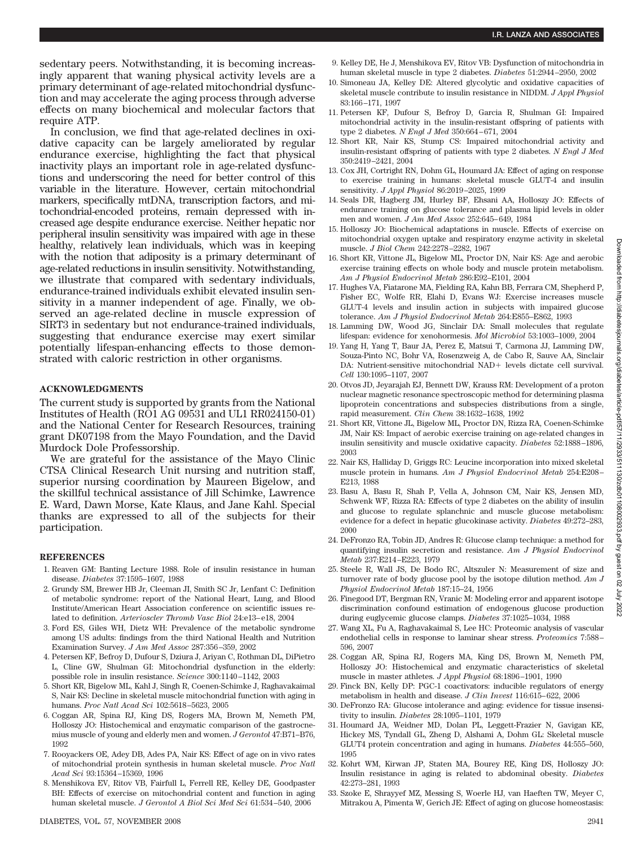sedentary peers. Notwithstanding, it is becoming increasingly apparent that waning physical activity levels are a primary determinant of age-related mitochondrial dysfunction and may accelerate the aging process through adverse effects on many biochemical and molecular factors that require ATP.

In conclusion, we find that age-related declines in oxidative capacity can be largely ameliorated by regular endurance exercise, highlighting the fact that physical inactivity plays an important role in age-related dysfunctions and underscoring the need for better control of this variable in the literature. However, certain mitochondrial markers, specifically mtDNA, transcription factors, and mitochondrial-encoded proteins, remain depressed with increased age despite endurance exercise. Neither hepatic nor peripheral insulin sensitivity was impaired with age in these healthy, relatively lean individuals, which was in keeping with the notion that adiposity is a primary determinant of age-related reductions in insulin sensitivity. Notwithstanding, we illustrate that compared with sedentary individuals, endurance-trained individuals exhibit elevated insulin sensitivity in a manner independent of age. Finally, we observed an age-related decline in muscle expression of SIRT3 in sedentary but not endurance-trained individuals, suggesting that endurance exercise may exert similar potentially lifespan-enhancing effects to those demonstrated with caloric restriction in other organisms.

## **ACKNOWLEDGMENTS**

The current study is supported by grants from the National Institutes of Health (RO1 AG 09531 and UL1 RR024150-01) and the National Center for Research Resources, training grant DK07198 from the Mayo Foundation, and the David Murdock Dole Professorship.

We are grateful for the assistance of the Mayo Clinic CTSA Clinical Research Unit nursing and nutrition staff, superior nursing coordination by Maureen Bigelow, and the skillful technical assistance of Jill Schimke, Lawrence E. Ward, Dawn Morse, Kate Klaus, and Jane Kahl. Special thanks are expressed to all of the subjects for their participation.

#### **REFERENCES**

- 1. Reaven GM: Banting Lecture 1988. Role of insulin resistance in human disease. *Diabetes* 37:1595–1607, 1988
- 2. Grundy SM, Brewer HB Jr, Cleeman JI, Smith SC Jr, Lenfant C: Definition of metabolic syndrome: report of the National Heart, Lung, and Blood Institute/American Heart Association conference on scientific issues related to definition. *Arterioscler Thromb Vasc Biol* 24:e13–e18, 2004
- 3. Ford ES, Giles WH, Dietz WH: Prevalence of the metabolic syndrome among US adults: findings from the third National Health and Nutrition Examination Survey. *J Am Med Assoc* 287:356–359, 2002
- 4. Petersen KF, Befroy D, Dufour S, Dziura J, Ariyan C, Rothman DL, DiPietro L, Cline GW, Shulman GI: Mitochondrial dysfunction in the elderly: possible role in insulin resistance. *Science* 300:1140–1142, 2003
- 5. Short KR, Bigelow ML, Kahl J, Singh R, Coenen-Schimke J, Raghavakaimal S, Nair KS: Decline in skeletal muscle mitochondrial function with aging in humans. *Proc Natl Acad Sci* 102:5618–5623, 2005
- 6. Coggan AR, Spina RJ, King DS, Rogers MA, Brown M, Nemeth PM, Holloszy JO: Histochemical and enzymatic comparison of the gastrocnemius muscle of young and elderly men and women. *J Gerontol* 47:B71–B76, 1992
- 7. Rooyackers OE, Adey DB, Ades PA, Nair KS: Effect of age on in vivo rates of mitochondrial protein synthesis in human skeletal muscle. *Proc Natl Acad Sci* 93:15364–15369, 1996
- 8. Menshikova EV, Ritov VB, Fairfull L, Ferrell RE, Kelley DE, Goodpaster BH: Effects of exercise on mitochondrial content and function in aging human skeletal muscle. *J Gerontol A Biol Sci Med Sci* 61:534–540, 2006
- 9. Kelley DE, He J, Menshikova EV, Ritov VB: Dysfunction of mitochondria in human skeletal muscle in type 2 diabetes. *Diabetes* 51:2944–2950, 2002
- 10. Simoneau JA, Kelley DE: Altered glycolytic and oxidative capacities of skeletal muscle contribute to insulin resistance in NIDDM. *J Appl Physiol* 83:166–171, 1997
- 11. Petersen KF, Dufour S, Befroy D, Garcia R, Shulman GI: Impaired mitochondrial activity in the insulin-resistant offspring of patients with type 2 diabetes. *N Engl J Med* 350:664–671, 2004
- 12. Short KR, Nair KS, Stump CS: Impaired mitochondrial activity and insulin-resistant offspring of patients with type 2 diabetes. *N Engl J Med* 350:2419–2421, 2004
- 13. Cox JH, Cortright RN, Dohm GL, Houmard JA: Effect of aging on response to exercise training in humans: skeletal muscle GLUT-4 and insulin sensitivity. *J Appl Physiol* 86:2019–2025, 1999
- 14. Seals DR, Hagberg JM, Hurley BF, Ehsani AA, Holloszy JO: Effects of endurance training on glucose tolerance and plasma lipid levels in older men and women. *J Am Med Assoc* 252:645–649, 1984
- 15. Holloszy JO: Biochemical adaptations in muscle. Effects of exercise on mitochondrial oxygen uptake and respiratory enzyme activity in skeletal muscle. *J Biol Chem* 242:2278–2282, 1967
- 16. Short KR, Vittone JL, Bigelow ML, Proctor DN, Nair KS: Age and aerobic exercise training effects on whole body and muscle protein metabolism. *Am J Physiol Endocrinol Metab* 286:E92–E101, 2004
- 17. Hughes VA, Fiatarone MA, Fielding RA, Kahn BB, Ferrara CM, Shepherd P, Fisher EC, Wolfe RR, Elahi D, Evans WJ: Exercise increases muscle GLUT-4 levels and insulin action in subjects with impaired glucose tolerance. *Am J Physiol Endocrinol Metab* 264:E855–E862, 1993
- 18. Lamming DW, Wood JG, Sinclair DA: Small molecules that regulate lifespan: evidence for xenohormesis. *Mol Microbiol* 53:1003–1009, 2004
- 19. Yang H, Yang T, Baur JA, Perez E, Matsui T, Carmona JJ, Lamming DW, Souza-Pinto NC, Bohr VA, Rosenzweig A, de Cabo R, Sauve AA, Sinclair DA: Nutrient-sensitive mitochondrial NAD levels dictate cell survival. *Cell* 130:1095–1107, 2007
- 20. Otvos JD, Jeyarajah EJ, Bennett DW, Krauss RM: Development of a proton nuclear magnetic resonance spectroscopic method for determining plasma lipoprotein concentrations and subspecies distributions from a single, rapid measurement. *Clin Chem* 38:1632–1638, 1992
- 21. Short KR, Vittone JL, Bigelow ML, Proctor DN, Rizza RA, Coenen-Schimke JM, Nair KS: Impact of aerobic exercise training on age-related changes in insulin sensitivity and muscle oxidative capacity. *Diabetes* 52:1888–1896, 2003
- 22. Nair KS, Halliday D, Griggs RC: Leucine incorporation into mixed skeletal muscle protein in humans. *Am J Physiol Endocrinol Metab* 254:E208– E213, 1988
- 23. Basu A, Basu R, Shah P, Vella A, Johnson CM, Nair KS, Jensen MD, Schwenk WF, Rizza RA: Effects of type 2 diabetes on the ability of insulin and glucose to regulate splanchnic and muscle glucose metabolism: evidence for a defect in hepatic glucokinase activity. *Diabetes* 49:272–283, 2000
- 24. DeFronzo RA, Tobin JD, Andres R: Glucose clamp technique: a method for quantifying insulin secretion and resistance. *Am J Physiol Endocrinol Metab* 237:E214–E223, 1979
- 25. Steele R, Wall JS, De Bodo RC, Altszuler N: Measurement of size and turnover rate of body glucose pool by the isotope dilution method. *Am J Physiol Endocrinol Metab* 187:15–24, 1956
- 26. Finegood DT, Bergman RN, Vranic M: Modeling error and apparent isotope discrimination confound estimation of endogenous glucose production during euglycemic glucose clamps. *Diabetes* 37:1025–1034, 1988
- 27. Wang XL, Fu A, Raghavakaimal S, Lee HC: Proteomic analysis of vascular endothelial cells in response to laminar shear stress. *Proteomics* 7:588– 596, 2007
- 28. Coggan AR, Spina RJ, Rogers MA, King DS, Brown M, Nemeth PM, Holloszy JO: Histochemical and enzymatic characteristics of skeletal muscle in master athletes. *J Appl Physiol* 68:1896–1901, 1990
- 29. Finck BN, Kelly DP: PGC-1 coactivators: inducible regulators of energy metabolism in health and disease. *J Clin Invest* 116:615–622, 2006
- 30. DeFronzo RA: Glucose intolerance and aging: evidence for tissue insensitivity to insulin. *Diabetes* 28:1095–1101, 1979
- 31. Houmard JA, Weidner MD, Dolan PL, Leggett-Frazier N, Gavigan KE, Hickey MS, Tyndall GL, Zheng D, Alshami A, Dohm GL: Skeletal muscle GLUT4 protein concentration and aging in humans. *Diabetes* 44:555–560, 1995
- 32. Kohrt WM, Kirwan JP, Staten MA, Bourey RE, King DS, Holloszy JO: Insulin resistance in aging is related to abdominal obesity. *Diabetes* 42:273–281, 1993
- 33. Szoke E, Shrayyef MZ, Messing S, Woerle HJ, van Haeften TW, Meyer C, Mitrakou A, Pimenta W, Gerich JE: Effect of aging on glucose homeostasis: